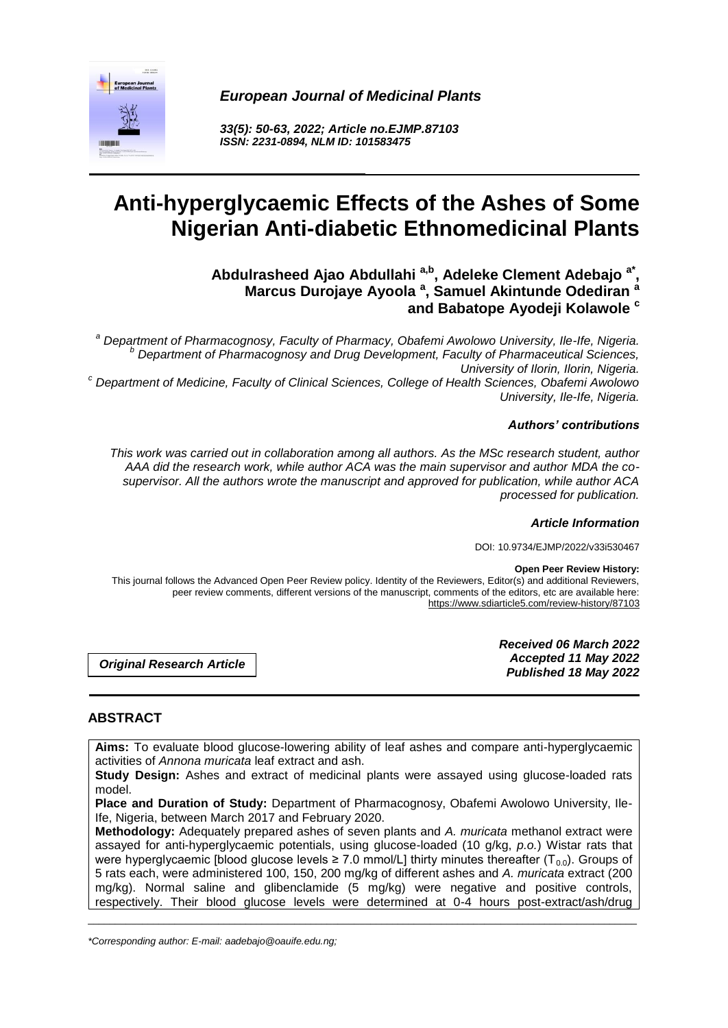*European Journal of Medicinal Plants*



*33(5): 50-63, 2022; Article no.EJMP.87103 ISSN: 2231-0894, NLM ID: 101583475*

# **Anti-hyperglycaemic Effects of the Ashes of Some Nigerian Anti-diabetic Ethnomedicinal Plants**

**Abdulrasheed Ajao Abdullahi a,b , Adeleke Clement Adebajo a\* , Marcus Durojaye Ayoola <sup>a</sup> , Samuel Akintunde Odediran <sup>a</sup> and Babatope Ayodeji Kolawole <sup>c</sup>**

*<sup>a</sup> Department of Pharmacognosy, Faculty of Pharmacy, Obafemi Awolowo University, Ile-Ife, Nigeria. <sup>b</sup> Department of Pharmacognosy and Drug Development, Faculty of Pharmaceutical Sciences, University of Ilorin, Ilorin, Nigeria. <sup>c</sup> Department of Medicine, Faculty of Clinical Sciences, College of Health Sciences, Obafemi Awolowo* 

*University, Ile-Ife, Nigeria.*

### *Authors' contributions*

*This work was carried out in collaboration among all authors. As the MSc research student, author AAA did the research work, while author ACA was the main supervisor and author MDA the cosupervisor. All the authors wrote the manuscript and approved for publication, while author ACA processed for publication.*

*Article Information*

DOI: 10.9734/EJMP/2022/v33i530467

#### **Open Peer Review History:**

This journal follows the Advanced Open Peer Review policy. Identity of the Reviewers, Editor(s) and additional Reviewers, peer review comments, different versions of the manuscript, comments of the editors, etc are available here: https://www.sdiarticle5.com/review-history/87103

*Original Research Article*

*Received 06 March 2022 Accepted 11 May 2022 Published 18 May 2022*

# **ABSTRACT**

**Aims:** To evaluate blood glucose-lowering ability of leaf ashes and compare anti-hyperglycaemic activities of *Annona muricata* leaf extract and ash.

**Study Design:** Ashes and extract of medicinal plants were assayed using glucose-loaded rats model.

**Place and Duration of Study:** Department of Pharmacognosy, Obafemi Awolowo University, Ile-Ife, Nigeria, between March 2017 and February 2020.

**Methodology:** Adequately prepared ashes of seven plants and *A. muricata* methanol extract were assayed for anti-hyperglycaemic potentials, using glucose-loaded (10 g/kg, *p.o.*) Wistar rats that were hyperglycaemic [blood glucose levels  $\geq 7.0$  mmol/L] thirty minutes thereafter ( $T_{0.0}$ ). Groups of 5 rats each, were administered 100, 150, 200 mg/kg of different ashes and *A. muricata* extract (200 mg/kg). Normal saline and glibenclamide (5 mg/kg) were negative and positive controls, respectively. Their blood glucose levels were determined at 0-4 hours post-extract/ash/drug

\_\_\_\_\_\_\_\_\_\_\_\_\_\_\_\_\_\_\_\_\_\_\_\_\_\_\_\_\_\_\_\_\_\_\_\_\_\_\_\_\_\_\_\_\_\_\_\_\_\_\_\_\_\_\_\_\_\_\_\_\_\_\_\_\_\_\_\_\_\_\_\_\_\_\_\_\_\_\_\_\_\_\_\_\_\_\_\_\_\_\_\_\_\_\_\_\_\_\_\_\_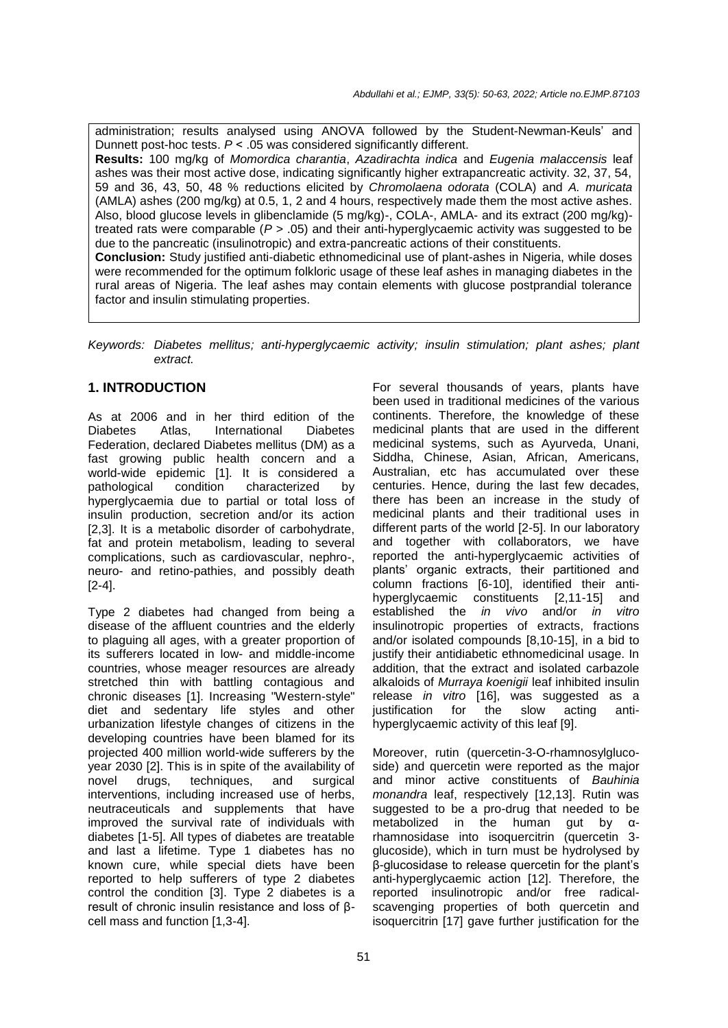administration; results analysed using ANOVA followed by the Student-Newman-Keuls' and Dunnett post-hoc tests. *P* ˂ .05 was considered significantly different. **Results:** 100 mg/kg of *Momordica charantia*, *Azadirachta indica* and *Eugenia malaccensis* leaf ashes was their most active dose, indicating significantly higher extrapancreatic activity. 32, 37, 54, 59 and 36, 43, 50, 48 % reductions elicited by *Chromolaena odorata* (COLA) and *A. muricata* (AMLA) ashes (200 mg/kg) at 0.5, 1, 2 and 4 hours, respectively made them the most active ashes. Also, blood glucose levels in glibenclamide (5 mg/kg)-, COLA-, AMLA- and its extract (200 mg/kg) treated rats were comparable (*P* > .05) and their anti-hyperglycaemic activity was suggested to be due to the pancreatic (insulinotropic) and extra-pancreatic actions of their constituents. **Conclusion:** Study justified anti-diabetic ethnomedicinal use of plant-ashes in Nigeria, while doses were recommended for the optimum folkloric usage of these leaf ashes in managing diabetes in the rural areas of Nigeria. The leaf ashes may contain elements with glucose postprandial tolerance factor and insulin stimulating properties.

*Keywords: Diabetes mellitus; anti-hyperglycaemic activity; insulin stimulation; plant ashes; plant extract.*

## **1. INTRODUCTION**

As at 2006 and in her third edition of the Diabetes Atlas, International Diabetes Federation, declared Diabetes mellitus (DM) as a fast growing public health concern and a world-wide epidemic [1]. It is considered a pathological condition characterized by hyperglycaemia due to partial or total loss of insulin production, secretion and/or its action [2,3]. It is a metabolic disorder of carbohydrate, fat and protein metabolism, leading to several complications, such as cardiovascular, nephro-, neuro- and retino-pathies, and possibly death [2-4].

Type 2 diabetes had changed from being a disease of the affluent countries and the elderly to plaguing all ages, with a greater proportion of its sufferers located in low- and middle-income countries, whose meager resources are already stretched thin with battling contagious and chronic diseases [1]. Increasing "Western-style" diet and sedentary life styles and other urbanization lifestyle changes of citizens in the developing countries have been blamed for its projected 400 million world-wide sufferers by the year 2030 [2]. This is in spite of the availability of novel drugs, techniques, and surgical interventions, including increased use of herbs, neutraceuticals and supplements that have improved the survival rate of individuals with diabetes [1-5]. All types of diabetes are treatable and last a lifetime. Type 1 diabetes has no known cure, while special diets have been reported to help sufferers of type 2 diabetes control the condition [3]. Type 2 diabetes is a result of chronic insulin resistance and loss of βcell mass and function [1,3-4].

For several thousands of years, plants have been used in traditional medicines of the various continents. Therefore, the knowledge of these medicinal plants that are used in the different medicinal systems, such as Ayurveda, Unani, Siddha, Chinese, Asian, African, Americans, Australian, etc has accumulated over these centuries. Hence, during the last few decades, there has been an increase in the study of medicinal plants and their traditional uses in different parts of the world [2-5]. In our laboratory and together with collaborators, we have reported the anti-hyperglycaemic activities of plants' organic extracts, their partitioned and column fractions [6-10], identified their antihyperglycaemic constituents [2,11-15] and established the *in vivo* and/or *in vitro* insulinotropic properties of extracts, fractions and/or isolated compounds [8,10-15], in a bid to justify their antidiabetic ethnomedicinal usage. In addition, that the extract and isolated carbazole alkaloids of *Murraya koenigii* leaf inhibited insulin release *in vitro* [16], was suggested as a justification for the slow acting antihyperglycaemic activity of this leaf [9].

Moreover, rutin (quercetin-3-O-rhamnosylglucoside) and quercetin were reported as the major and minor active constituents of *Bauhinia monandra* leaf, respectively [12,13]. Rutin was suggested to be a pro-drug that needed to be metabolized in the human gut by αrhamnosidase into isoquercitrin (quercetin 3 glucoside), which in turn must be hydrolysed by β-glucosidase to release quercetin for the plant's anti-hyperglycaemic action [12]. Therefore, the reported insulinotropic and/or free radicalscavenging properties of both quercetin and isoquercitrin [17] gave further justification for the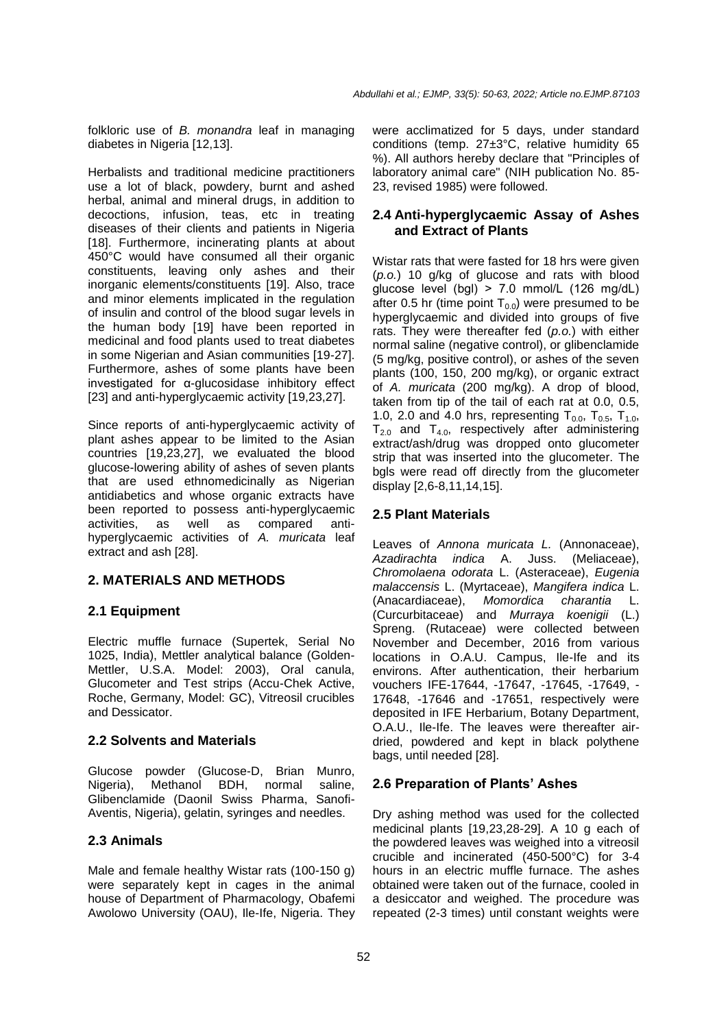folkloric use of *B. monandra* leaf in managing diabetes in Nigeria [12,13].

Herbalists and traditional medicine practitioners use a lot of black, powdery, burnt and ashed herbal, animal and mineral drugs, in addition to decoctions, infusion, teas, etc in treating diseases of their clients and patients in Nigeria [18]. Furthermore, incinerating plants at about 450°C would have consumed all their organic constituents, leaving only ashes and their inorganic elements/constituents [19]. Also, trace and minor elements implicated in the regulation of insulin and control of the blood sugar levels in the human body [19] have been reported in medicinal and food plants used to treat diabetes in some Nigerian and Asian communities [19-27]. Furthermore, ashes of some plants have been investigated for α-glucosidase inhibitory effect [23] and anti-hyperglycaemic activity [19,23,27].

Since reports of anti-hyperglycaemic activity of plant ashes appear to be limited to the Asian countries [19,23,27], we evaluated the blood glucose-lowering ability of ashes of seven plants that are used ethnomedicinally as Nigerian antidiabetics and whose organic extracts have been reported to possess anti-hyperglycaemic activities, as well as compared antihyperglycaemic activities of *A. muricata* leaf extract and ash [28].

### **2. MATERIALS AND METHODS**

### **2.1 Equipment**

Electric muffle furnace (Supertek, Serial No 1025, India), Mettler analytical balance (Golden-Mettler, U.S.A. Model: 2003), Oral canula, Glucometer and Test strips (Accu-Chek Active, Roche, Germany, Model: GC), Vitreosil crucibles and Dessicator.

### **2.2 Solvents and Materials**

Glucose powder (Glucose-D, Brian Munro, Nigeria), Methanol BDH, normal saline, Glibenclamide (Daonil Swiss Pharma, Sanofi-Aventis, Nigeria), gelatin, syringes and needles.

### **2.3 Animals**

Male and female healthy Wistar rats (100-150 g) were separately kept in cages in the animal house of Department of Pharmacology, Obafemi Awolowo University (OAU), Ile-Ife, Nigeria. They

were acclimatized for 5 days, under standard conditions (temp. 27±3°C, relative humidity 65 %). All authors hereby declare that "Principles of laboratory animal care" (NIH publication No. 85- 23, revised 1985) were followed.

## **2.4 Anti-hyperglycaemic Assay of Ashes and Extract of Plants**

Wistar rats that were fasted for 18 hrs were given (*p.o.*) 10 g/kg of glucose and rats with blood glucose level (bgl)  $> 7.0$  mmol/L (126 mg/dL) after 0.5 hr (time point  $T_{0.0}$ ) were presumed to be hyperglycaemic and divided into groups of five rats. They were thereafter fed (*p.o.*) with either normal saline (negative control), or glibenclamide (5 mg/kg, positive control), or ashes of the seven plants (100, 150, 200 mg/kg), or organic extract of *A. muricata* (200 mg/kg). A drop of blood, taken from tip of the tail of each rat at 0.0, 0.5, 1.0, 2.0 and 4.0 hrs, representing  $T_{0.0}$ ,  $T_{0.5}$ ,  $T_{1.0}$ ,  $T_{2.0}$  and  $T_{4.0}$ , respectively after administering extract/ash/drug was dropped onto glucometer strip that was inserted into the glucometer. The bgls were read off directly from the glucometer display [2,6-8,11,14,15].

## **2.5 Plant Materials**

Leaves of *Annona muricata L.* (Annonaceae), *Azadirachta indica* A. Juss. (Meliaceae), *Chromolaena odorata* L. (Asteraceae), *Eugenia malaccensis* L. (Myrtaceae), *Mangifera indica* L. (Anacardiaceae), *Momordica charantia* L. (Curcurbitaceae) and *Murraya koenigii* (L.) Spreng. (Rutaceae) were collected between November and December, 2016 from various locations in O.A.U. Campus, Ile-Ife and its environs. After authentication, their herbarium vouchers IFE-17644, -17647, -17645, -17649, - 17648, -17646 and -17651, respectively were deposited in IFE Herbarium, Botany Department, O.A.U., Ile-Ife. The leaves were thereafter airdried, powdered and kept in black polythene bags, until needed [28].

# **2.6 Preparation of Plants' Ashes**

Dry ashing method was used for the collected medicinal plants [19,23,28-29]. A 10 g each of the powdered leaves was weighed into a vitreosil crucible and incinerated (450-500°C) for 3-4 hours in an electric muffle furnace. The ashes obtained were taken out of the furnace, cooled in a desiccator and weighed. The procedure was repeated (2-3 times) until constant weights were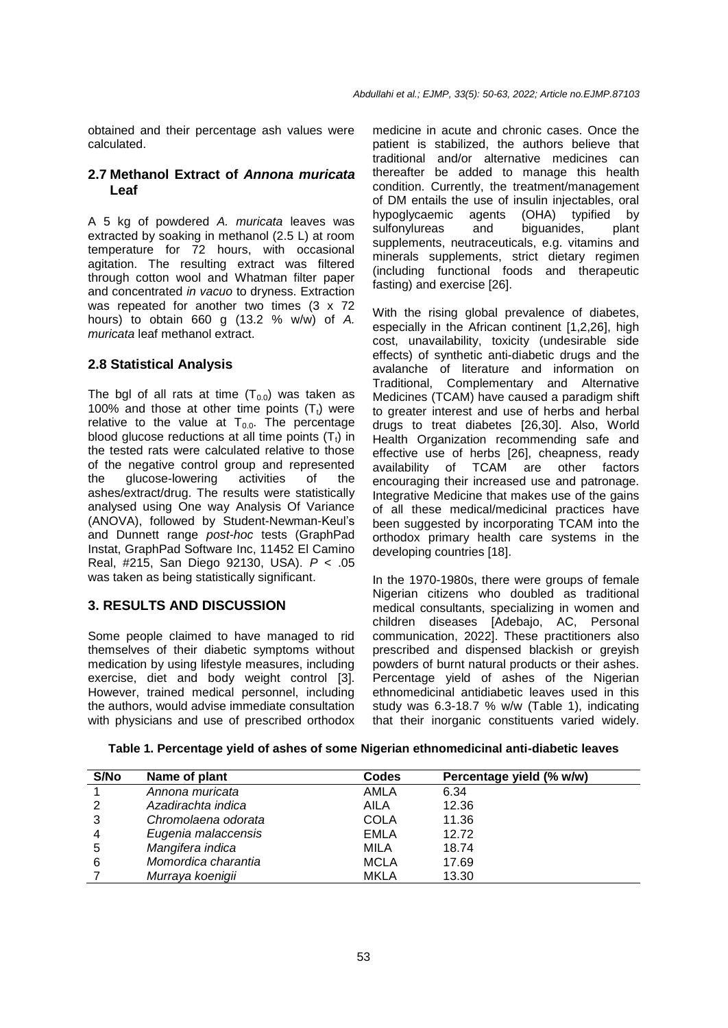obtained and their percentage ash values were calculated.

#### **2.7 Methanol Extract of** *Annona muricata* **Leaf**

A 5 kg of powdered *A. muricata* leaves was extracted by soaking in methanol (2.5 L) at room temperature for 72 hours, with occasional agitation. The resulting extract was filtered through cotton wool and Whatman filter paper and concentrated *in vacuo* to dryness. Extraction was repeated for another two times (3 x 72 hours) to obtain 660 g (13.2 % w/w) of *A. muricata* leaf methanol extract.

### **2.8 Statistical Analysis**

The bgl of all rats at time  $(T_{0.0})$  was taken as 100% and those at other time points  $(T<sub>t</sub>)$  were relative to the value at  $T_{0.0}$ . The percentage blood glucose reductions at all time points  $(T<sub>t</sub>)$  in the tested rats were calculated relative to those of the negative control group and represented the glucose-lowering activities of the ashes/extract/drug. The results were statistically analysed using One way Analysis Of Variance (ANOVA), followed by Student-Newman-Keul's and Dunnett range *post-hoc* tests (GraphPad Instat, GraphPad Software Inc, 11452 El Camino Real, #215, San Diego 92130, USA). *P* < .05 was taken as being statistically significant.

### **3. RESULTS AND DISCUSSION**

Some people claimed to have managed to rid themselves of their diabetic symptoms without medication by using lifestyle measures, including exercise, diet and body weight control [3]. However, trained medical personnel, including the authors, would advise immediate consultation with physicians and use of prescribed orthodox medicine in acute and chronic cases. Once the patient is stabilized, the authors believe that traditional and/or alternative medicines can thereafter be added to manage this health condition. Currently, the treatment/management of DM entails the use of insulin injectables, oral hypoglycaemic agents (OHA) typified by sulfonylureas and biguanides, plant supplements, neutraceuticals, e.g. vitamins and minerals supplements, strict dietary regimen (including functional foods and therapeutic fasting) and exercise [26].

With the rising global prevalence of diabetes, especially in the African continent [1,2,26], high cost, unavailability, toxicity (undesirable side effects) of synthetic anti-diabetic drugs and the avalanche of literature and information on Traditional, Complementary and Alternative Medicines (TCAM) have caused a paradigm shift to greater interest and use of herbs and herbal drugs to treat diabetes [26,30]. Also, World Health Organization recommending safe and effective use of herbs [26], cheapness, ready availability of TCAM are other factors encouraging their increased use and patronage. Integrative Medicine that makes use of the gains of all these medical/medicinal practices have been suggested by incorporating TCAM into the orthodox primary health care systems in the developing countries [18].

In the 1970-1980s, there were groups of female Nigerian citizens who doubled as traditional medical consultants, specializing in women and children diseases [Adebajo, AC, Personal communication, 2022]. These practitioners also prescribed and dispensed blackish or greyish powders of burnt natural products or their ashes. Percentage yield of ashes of the Nigerian ethnomedicinal antidiabetic leaves used in this study was 6.3-18.7 % w/w (Table 1), indicating that their inorganic constituents varied widely.

|  |  |  |  |  |  |  | Table 1. Percentage yield of ashes of some Nigerian ethnomedicinal anti-diabetic leaves |
|--|--|--|--|--|--|--|-----------------------------------------------------------------------------------------|
|--|--|--|--|--|--|--|-----------------------------------------------------------------------------------------|

| S/No | Name of plant       | <b>Codes</b> | Percentage yield (% w/w) |  |
|------|---------------------|--------------|--------------------------|--|
|      | Annona muricata     | AMLA         | 6.34                     |  |
| 2    | Azadirachta indica  | AILA         | 12.36                    |  |
| 3    | Chromolaena odorata | <b>COLA</b>  | 11.36                    |  |
| 4    | Eugenia malaccensis | EMLA         | 12.72                    |  |
| 5    | Mangifera indica    | MILA         | 18.74                    |  |
| 6    | Momordica charantia | <b>MCLA</b>  | 17.69                    |  |
|      | Murraya koenigii    | <b>MKLA</b>  | 13.30                    |  |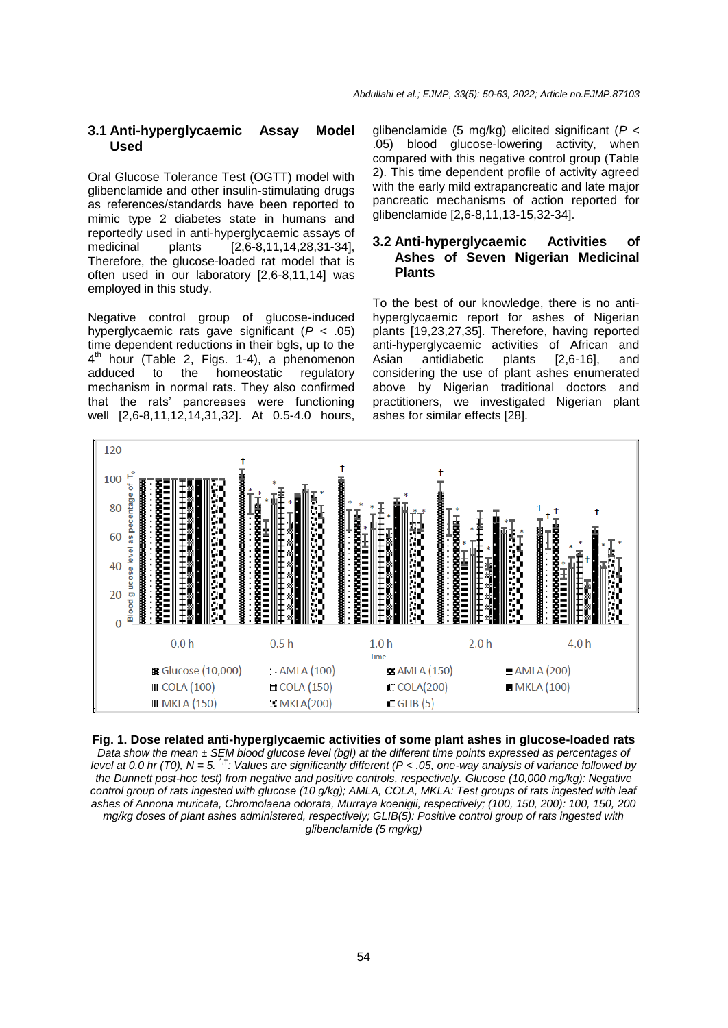#### **3.1 Anti-hyperglycaemic Assay Model Used**

Oral Glucose Tolerance Test (OGTT) model with glibenclamide and other insulin-stimulating drugs as references/standards have been reported to mimic type 2 diabetes state in humans and reportedly used in anti-hyperglycaemic assays of medicinal plants [2,6-8,11,14,28,31-34], Therefore, the glucose-loaded rat model that is often used in our laboratory [2,6-8,11,14] was employed in this study.

Negative control group of glucose-induced hyperglycaemic rats gave significant (*P* < .05) time dependent reductions in their bgls, up to the 4<sup>th</sup> hour (Table 2, Figs. 1-4), a phenomenon adduced to the homeostatic regulatory mechanism in normal rats. They also confirmed that the rats' pancreases were functioning well [2,6-8,11,12,14,31,32]. At 0.5-4.0 hours,

glibenclamide (5 mg/kg) elicited significant (*P* < .05) blood glucose-lowering activity, when compared with this negative control group (Table 2). This time dependent profile of activity agreed with the early mild extrapancreatic and late major pancreatic mechanisms of action reported for glibenclamide [2,6-8,11,13-15,32-34].

### **3.2 Anti-hyperglycaemic Activities of Ashes of Seven Nigerian Medicinal Plants**

To the best of our knowledge, there is no antihyperglycaemic report for ashes of Nigerian plants [19,23,27,35]. Therefore, having reported anti-hyperglycaemic activities of African and Asian antidiabetic plants [2,6-16], and considering the use of plant ashes enumerated above by Nigerian traditional doctors and practitioners, we investigated Nigerian plant ashes for similar effects [28].



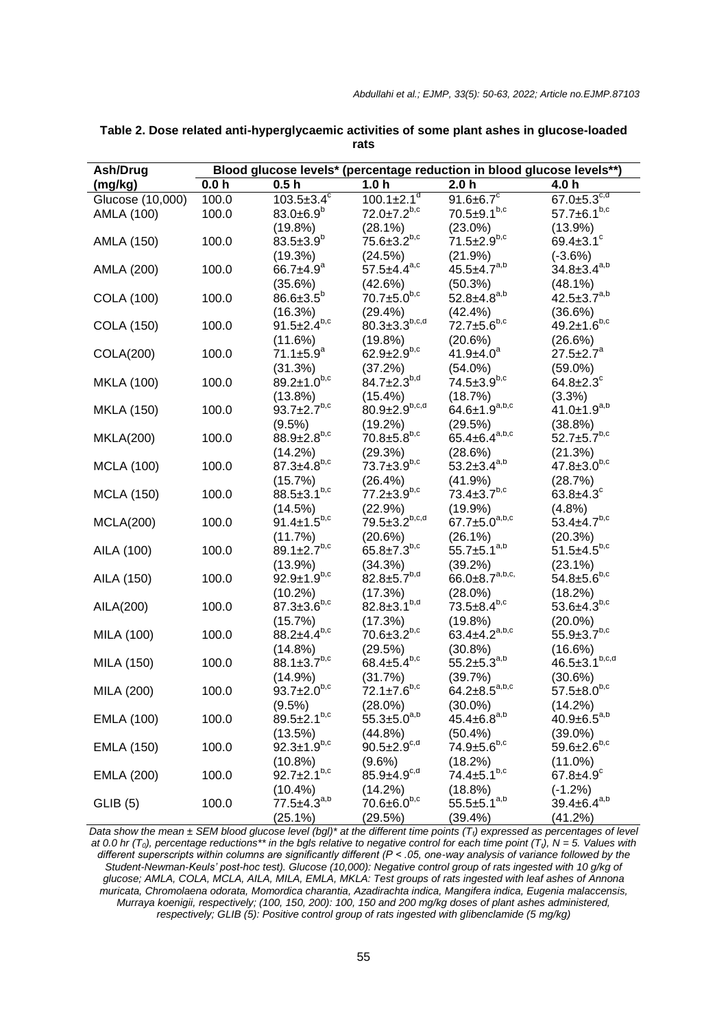| Ash/Drug          | Blood glucose levels* (percentage reduction in blood glucose levels**) |                                    |                              |                                 |                                   |  |  |
|-------------------|------------------------------------------------------------------------|------------------------------------|------------------------------|---------------------------------|-----------------------------------|--|--|
| (mg/kg)           | 0.0 <sub>h</sub>                                                       | 0.5 <sub>h</sub>                   | 1.0 <sub>h</sub>             | 2.0 <sub>h</sub>                | 4.0 h                             |  |  |
| Glucose (10,000)  | 100.0                                                                  | $103.5 \pm 3.4^{\circ}$            | $100.1 \pm 2.1$ <sup>d</sup> | 91.6 $\pm$ 6.7 $\overline{C}$   | 67.0 $\pm$ 5.3 $c,d$              |  |  |
| AMLA (100)        | 100.0                                                                  | 83.0 $\pm$ 6.9 <sup>b</sup>        | $72.0 \pm 7.2^{b,c}$         | $70.5 \pm 9.1^{b,c}$            | $57.7 \pm 6.1^{b,c}$              |  |  |
|                   |                                                                        | (19.8%)                            | (28.1%)                      | $(23.0\%)$                      | $(13.9\%)$                        |  |  |
| AMLA (150)        | 100.0                                                                  | $83.5 \pm 3.9^b$                   | $75.6 \pm 3.2^{b,c}$         | $71.5 \pm 2.9^{b,c}$            | 69.4 $\pm$ 3.1 $\degree$          |  |  |
|                   |                                                                        | (19.3%)                            | (24.5%)                      | (21.9%)                         | $(-3.6%)$                         |  |  |
| AMLA (200)        | 100.0                                                                  | $66.7 \pm 4.9^a$                   | $57.5 + 4.4^{a,c}$           | $45.5 + 4.7^{a,b}$              | $34.8 \pm 3.4^{a,b}$              |  |  |
|                   |                                                                        | (35.6%)                            | (42.6%)                      | (50.3%)                         | (48.1%)                           |  |  |
| <b>COLA (100)</b> | 100.0                                                                  | $86.6 \pm 3.5^b$                   | $70.7 \pm 5.0^{b,c}$         | $52.8 \pm 4.8^{a,b}$            | $42.5 \pm 3.7^{a,b}$              |  |  |
|                   |                                                                        | (16.3%)                            | (29.4%)                      | (42.4%)                         | (36.6%)                           |  |  |
| <b>COLA (150)</b> | 100.0                                                                  | $91.5 \pm 2.4^{b,c}$               | $80.3 \pm 3.3^{b,c,d}$       | $72.7 \pm 5.6^{b,c}$            | $49.2 \pm 1.6^{b,c}$              |  |  |
|                   |                                                                        | (11.6%)                            | (19.8%)                      | (20.6%)                         | (26.6%)                           |  |  |
| COLA(200)         | 100.0                                                                  | $71.1 \pm 5.9^a$                   | $62.9 \pm 2.9^{b,c}$         | $41.9 \pm 4.0^a$                | $27.5 \pm 2.7^a$                  |  |  |
|                   |                                                                        | (31.3%)                            | (37.2%)                      | $(54.0\%)$                      | $(59.0\%)$                        |  |  |
| <b>MKLA (100)</b> | 100.0                                                                  | $89.2 \pm 1.0^{b,c}$               | $84.7 \pm 2.3^{b,d}$         | $74.5 \pm 3.9^{b,c}$            | $64.8 \pm 2.3^c$                  |  |  |
|                   |                                                                        | $(13.8\%)$                         | $(15.4\%)$                   | (18.7%)                         | (3.3%)                            |  |  |
| <b>MKLA (150)</b> | 100.0                                                                  | $93.7 \pm 2.7^{b,c}$               | $80.9 \pm 2.9^{b,c,d}$       | $64.6 \pm 1.9^{a,b,c}$          | $41.0 \pm 1.9^{a,b}$              |  |  |
|                   |                                                                        | (9.5%)                             | (19.2%)                      | (29.5%)                         | (38.8%)                           |  |  |
| <b>MKLA(200)</b>  | 100.0                                                                  | $88.9 \pm 2.8^{b,c}$               | $70.8 \pm 5.8^{b,c}$         | $65.4 \pm 6.4^{a,b,c}$          | $52.7 \pm 5.7^{b,c}$              |  |  |
|                   |                                                                        | $(14.2\%)$                         | (29.3%)                      | (28.6%)                         | (21.3%)                           |  |  |
| <b>MCLA (100)</b> | 100.0                                                                  | $87.3 \pm 4.8^{b,c}$               | $73.7 \pm 3.9^{b,c}$         | $53.2 \pm 3.4^{a,b}$            | $47.8 \pm 3.0^{b,c}$              |  |  |
|                   |                                                                        | (15.7%)                            | $(26.4\%)$                   | (41.9%)                         | (28.7%)                           |  |  |
| <b>MCLA (150)</b> | 100.0                                                                  | $88.5 \pm 3.1^{b,c}$               | $77.2 \pm 3.9^{b,c}$         | $73.4 \pm 3.7^{b,c}$            | 63.8 $\pm$ 4.3 $\degree$          |  |  |
|                   |                                                                        | (14.5%)                            | (22.9%)                      | (19.9%)                         | (4.8%)                            |  |  |
| <b>MCLA(200)</b>  | 100.0                                                                  | $91.4 \pm 1.5^{b,c}$               | $79.5 \pm 3.2^{b,c,d}$       | $67.7 \pm 5.0^{a,b,c}$          | $53.4 \pm 4.7^{b,c}$              |  |  |
|                   |                                                                        | (11.7%)                            | (20.6%)                      | (26.1%)                         | (20.3%)                           |  |  |
| AILA (100)        | 100.0                                                                  | 89.1 $\pm 2.7^{b,c}$               | $65.8 \pm 7.3^{b,c}$         | $55.7 \pm 5.1^{a,b}$            | $51.5 + 4.5^{b,c}$                |  |  |
|                   |                                                                        | (13.9%)                            | (34.3%)                      | (39.2%)                         | $(23.1\%)$                        |  |  |
| AILA (150)        | 100.0                                                                  | $92.9 \pm 1.9^{b,c}$               | $82.8 \pm 5.7^{b,d}$         | $66.0 \pm 8.7^{a,b,c}$          | $54.8 \pm 5.6^{b,c}$              |  |  |
|                   |                                                                        | (10.2%)                            | (17.3%)                      | $(28.0\%)$                      | (18.2%)                           |  |  |
| AILA(200)         | 100.0                                                                  | $87.3 \pm 3.6^{b,c}$               | $82.8 \pm 3.1^{b,d}$         | $73.5 \pm 8.4^{b,c}$            | $53.6 \pm 4.3^{b,c}$              |  |  |
|                   |                                                                        | (15.7%)                            | (17.3%)                      | (19.8%)                         | $(20.0\%)$                        |  |  |
| MILA (100)        | 100.0                                                                  | $88.2 + 4.4^{b,c}$                 | $70.6 \pm 3.2^{b,c}$         | 63.4 $\pm$ 4.2 <sup>a,b,c</sup> | $55.9 \pm 3.7^{b,c}$              |  |  |
|                   |                                                                        | (14.8%)                            | (29.5%)                      | (30.8%)                         | (16.6%)                           |  |  |
| MILA (150)        | 100.0                                                                  | $88.1 \pm 3.7^{b,c}$               | $68.4 \pm 5.4^{b,c}$         | $55.2 \pm 5.3^{a,b}$            | $46.5 \pm 3.1^{b,c,d}$            |  |  |
|                   |                                                                        | (14.9%)                            | (31.7%)                      | (39.7%)                         | (30.6%)                           |  |  |
| MILA (200)        | 100.0                                                                  | $93.7 \pm 2.0^{b,c}$               | $72.1 \pm 7.6^{b,c}$         | $64.2 \pm 8.5^{a,b,c}$          | $57.5 \pm 8.0^{b,c}$              |  |  |
|                   |                                                                        | (9.5%)                             | $(28.0\%)$                   | $(30.0\%)$                      | (14.2%)                           |  |  |
| <b>EMLA (100)</b> | 100.0                                                                  | $89.5 \pm 2.1^{b,c}$               | $55.3 \pm 5.0^{a,b}$         | $45.4 \pm 6.8^{a,b}$            | $40.9 \pm 6.5^{a,b}$              |  |  |
|                   |                                                                        | (13.5%)                            | (44.8%)                      | $(50.4\%)$                      | $(39.0\%)$                        |  |  |
| <b>EMLA (150)</b> | 100.0                                                                  | $92.3 \pm 1.9^{b,c}$               | $90.5 \pm 2.9^{c,d}$         | $74.9 \pm 5.6^{b,c}$            | $59.6 \pm 2.6^{b,c}$              |  |  |
|                   |                                                                        | (10.8%)                            | $(9.6\%)$                    | (18.2%)<br>$74.4 \pm 5.1^{b,c}$ | $(11.0\%)$                        |  |  |
| <b>EMLA (200)</b> | 100.0                                                                  | $92.7 \pm 2.1^{b,c}$               | $85.9 \pm 4.9^{c,d}$         |                                 | $67.8 \pm 4.9$ <sup>c</sup>       |  |  |
|                   |                                                                        | $(10.4\%)$<br>$77.5 \pm 4.3^{a,b}$ | (14.2%)                      | (18.8%)<br>$55.5 \pm 5.1^{a,b}$ | $(-1.2%)$<br>$39.4 \pm 6.4^{a,b}$ |  |  |
| <b>GLIB (5)</b>   | 100.0                                                                  |                                    | $70.6 \pm 6.0^{b,c}$         |                                 |                                   |  |  |
|                   |                                                                        | (25.1%)                            | (29.5%)                      | (39.4%)                         | (41.2%)                           |  |  |

**Table 2. Dose related anti-hyperglycaemic activities of some plant ashes in glucose-loaded rats**

*Data show the mean ± SEM blood glucose level (bgl)\* at the different time points (T<sub>t</sub>) expressed as percentages of level at 0.0 hr (T0), percentage reductions\*\* in the bgls relative to negative control for each time point (Tt), N = 5. Values with different superscripts within columns are significantly different (P ˂ .05, one-way analysis of variance followed by the Student-Newman-Keuls' post-hoc test). Glucose (10,000): Negative control group of rats ingested with 10 g/kg of glucose; AMLA, COLA, MCLA, AILA, MILA, EMLA, MKLA: Test groups of rats ingested with leaf ashes of Annona muricata, Chromolaena odorata, Momordica charantia, Azadirachta indica, Mangifera indica, Eugenia malaccensis, Murraya koenigii, respectively; (100, 150, 200): 100, 150 and 200 mg/kg doses of plant ashes administered, respectively; GLIB (5): Positive control group of rats ingested with glibenclamide (5 mg/kg)*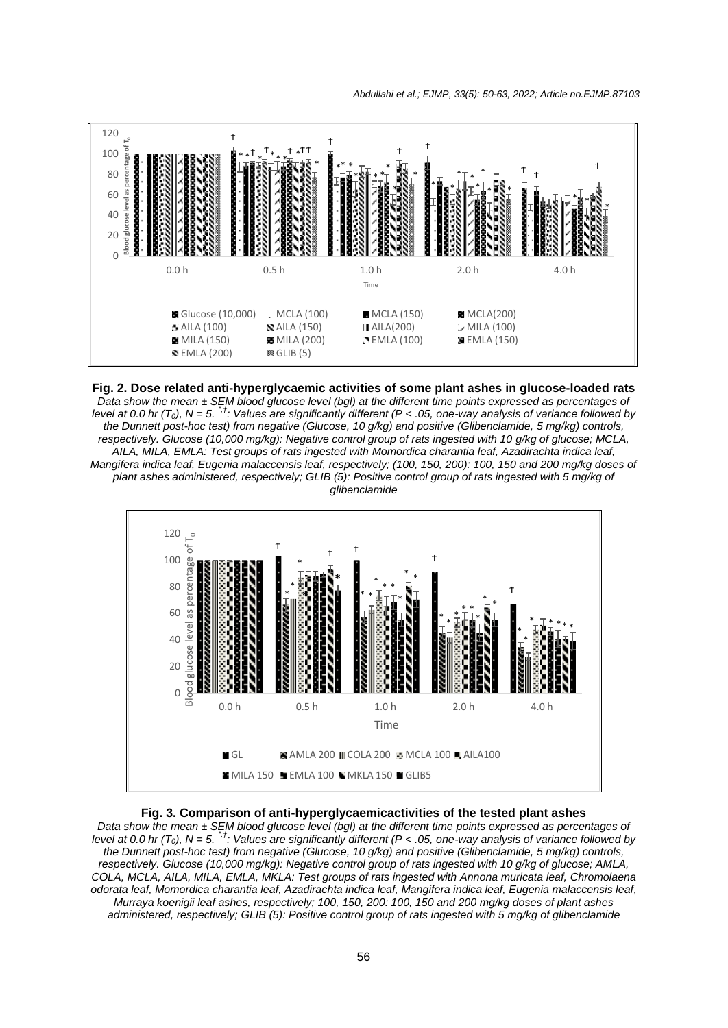

**Fig. 2. Dose related anti-hyperglycaemic activities of some plant ashes in glucose-loaded rats**

*Data show the mean ± SEM blood glucose level (bgl) at the different time points expressed as percentages of level at 0.0 hr* ( $T_0$ ), N = 5. <sup>\**t*</sup>: Values are significantly different ( $P < .05$ , one-way analysis of variance followed by *the Dunnett post-hoc test) from negative (Glucose, 10 g/kg) and positive (Glibenclamide, 5 mg/kg) controls, respectively. Glucose (10,000 mg/kg): Negative control group of rats ingested with 10 g/kg of glucose; MCLA, AILA, MILA, EMLA: Test groups of rats ingested with Momordica charantia leaf, Azadirachta indica leaf, Mangifera indica leaf, Eugenia malaccensis leaf, respectively; (100, 150, 200): 100, 150 and 200 mg/kg doses of plant ashes administered, respectively; GLIB (5): Positive control group of rats ingested with 5 mg/kg of glibenclamide*



**Fig. 3. Comparison of anti-hyperglycaemicactivities of the tested plant ashes** *Data show the mean ± SEM blood glucose level (bgl) at the different time points expressed as percentages of level at 0.0 hr (T<sub>0</sub>), N = 5. <sup>\*<i>†*</sup>: Values are significantly different (P < .05, one-way analysis of variance followed by *the Dunnett post-hoc test) from negative (Glucose, 10 g/kg) and positive (Glibenclamide, 5 mg/kg) controls, respectively. Glucose (10,000 mg/kg): Negative control group of rats ingested with 10 g/kg of glucose; AMLA, COLA, MCLA, AILA, MILA, EMLA, MKLA: Test groups of rats ingested with Annona muricata leaf, Chromolaena odorata leaf, Momordica charantia leaf, Azadirachta indica leaf, Mangifera indica leaf, Eugenia malaccensis leaf, Murraya koenigii leaf ashes, respectively; 100, 150, 200: 100, 150 and 200 mg/kg doses of plant ashes administered, respectively; GLIB (5): Positive control group of rats ingested with 5 mg/kg of glibenclamide*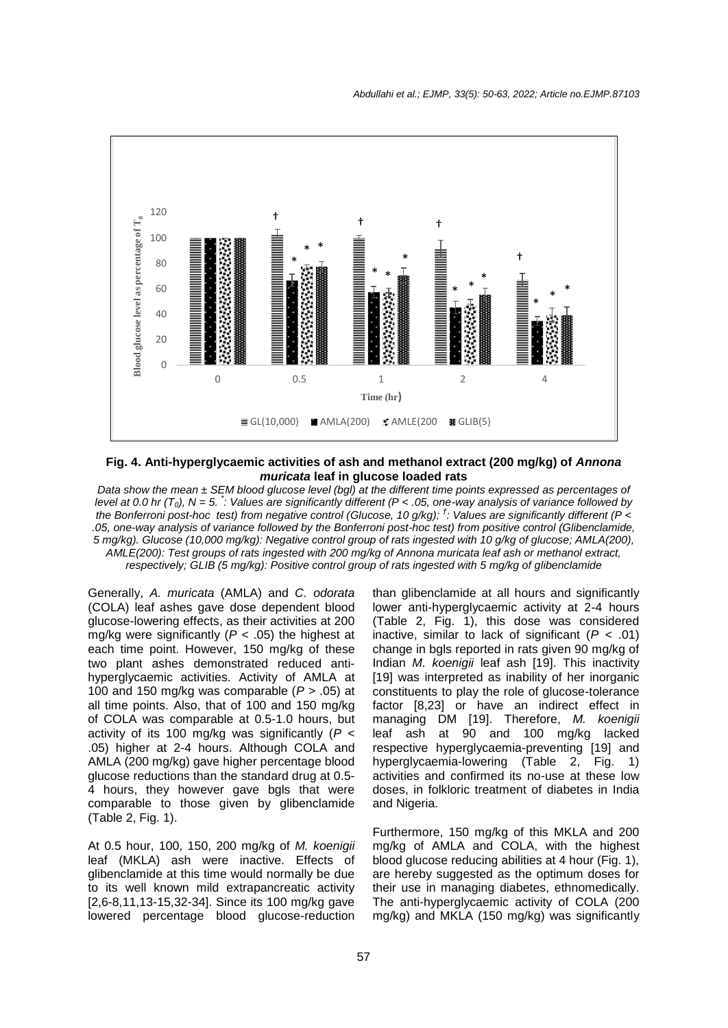

**Fig. 4. Anti-hyperglycaemic activities of ash and methanol extract (200 mg/kg) of** *Annona muricata* **leaf in glucose loaded rats**

*Data show the mean ± SEM blood glucose level (bgl) at the different time points expressed as percentages of level at 0.0 hr (T0), N = 5. \* : Values are significantly different (P < .05, one-way analysis of variance followed by the Bonferroni post-hoc test) from negative control (Glucose, 10 g/kg); † : Values are significantly different (P < .05, one-way analysis of variance followed by the Bonferroni post-hoc test) from positive control (Glibenclamide, 5 mg/kg). Glucose (10,000 mg/kg): Negative control group of rats ingested with 10 g/kg of glucose; AMLA(200), AMLE(200): Test groups of rats ingested with 200 mg/kg of Annona muricata leaf ash or methanol extract, respectively; GLIB (5 mg/kg): Positive control group of rats ingested with 5 mg/kg of glibenclamide*

Generally, *A. muricata* (AMLA) and *C. odorata*  (COLA) leaf ashes gave dose dependent blood glucose-lowering effects, as their activities at 200 mg/kg were significantly (*P* < .05) the highest at each time point. However, 150 mg/kg of these two plant ashes demonstrated reduced antihyperglycaemic activities. Activity of AMLA at 100 and 150 mg/kg was comparable (*P* > .05) at all time points. Also, that of 100 and 150 mg/kg of COLA was comparable at 0.5-1.0 hours, but activity of its 100 mg/kg was significantly (*P* < .05) higher at 2-4 hours. Although COLA and AMLA (200 mg/kg) gave higher percentage blood glucose reductions than the standard drug at 0.5- 4 hours, they however gave bgls that were comparable to those given by glibenclamide (Table 2, Fig. 1).

At 0.5 hour, 100, 150, 200 mg/kg of *M. koenigii*  leaf (MKLA) ash were inactive. Effects of glibenclamide at this time would normally be due to its well known mild extrapancreatic activity [2,6-8,11,13-15,32-34]. Since its 100 mg/kg gave lowered percentage blood glucose-reduction

than glibenclamide at all hours and significantly lower anti-hyperglycaemic activity at 2-4 hours (Table 2, Fig. 1), this dose was considered inactive, similar to lack of significant  $(P < .01)$ change in bgls reported in rats given 90 mg/kg of Indian *M. koenigii* leaf ash [19]. This inactivity [19] was interpreted as inability of her inorganic constituents to play the role of glucose-tolerance factor [8,23] or have an indirect effect in managing DM [19]. Therefore, *M. koenigii* leaf ash at 90 and 100 mg/kg lacked respective hyperglycaemia-preventing [19] and hyperglycaemia-lowering (Table 2, Fig. 1) activities and confirmed its no-use at these low doses, in folkloric treatment of diabetes in India and Nigeria.

Furthermore, 150 mg/kg of this MKLA and 200 mg/kg of AMLA and COLA, with the highest blood glucose reducing abilities at 4 hour (Fig. 1), are hereby suggested as the optimum doses for their use in managing diabetes, ethnomedically. The anti-hyperglycaemic activity of COLA (200 mg/kg) and MKLA (150 mg/kg) was significantly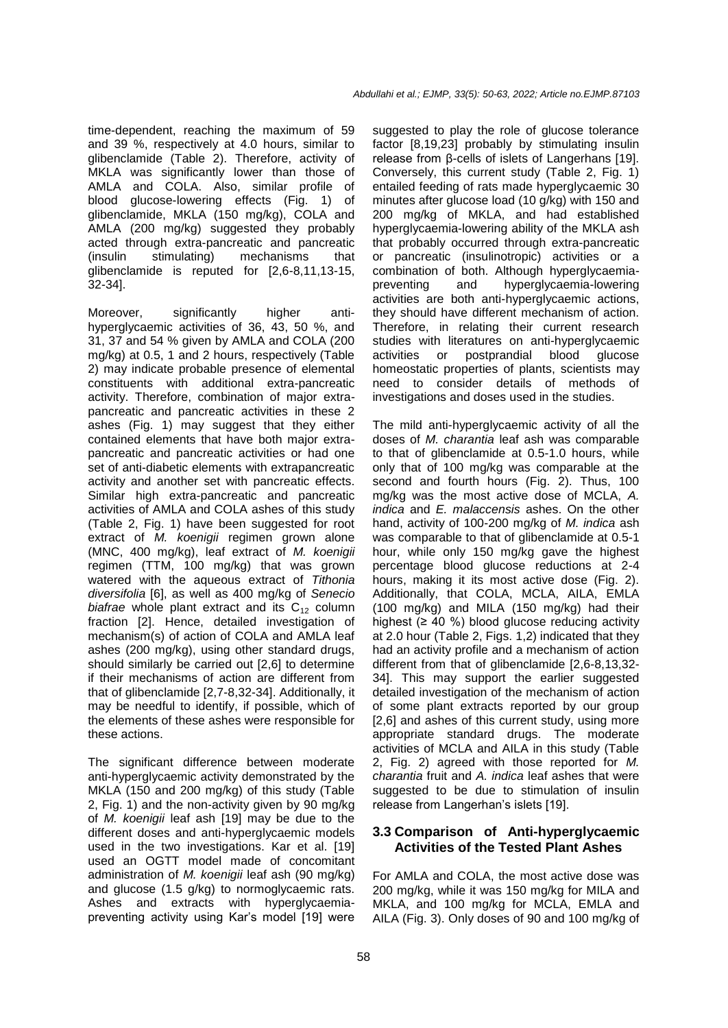time-dependent, reaching the maximum of 59 and 39 %, respectively at 4.0 hours, similar to glibenclamide (Table 2). Therefore, activity of MKLA was significantly lower than those of AMLA and COLA. Also, similar profile of blood glucose-lowering effects (Fig. 1) of glibenclamide, MKLA (150 mg/kg), COLA and AMLA (200 mg/kg) suggested they probably acted through extra-pancreatic and pancreatic (insulin stimulating) mechanisms that glibenclamide is reputed for [2,6-8,11,13-15, 32-34].

Moreover, significantly higher antihyperglycaemic activities of 36, 43, 50 %, and 31, 37 and 54 % given by AMLA and COLA (200 mg/kg) at 0.5, 1 and 2 hours, respectively (Table 2) may indicate probable presence of elemental constituents with additional extra-pancreatic activity. Therefore, combination of major extrapancreatic and pancreatic activities in these 2 ashes (Fig. 1) may suggest that they either contained elements that have both major extrapancreatic and pancreatic activities or had one set of anti-diabetic elements with extrapancreatic activity and another set with pancreatic effects. Similar high extra-pancreatic and pancreatic activities of AMLA and COLA ashes of this study (Table 2, Fig. 1) have been suggested for root extract of *M. koenigii* regimen grown alone (MNC, 400 mg/kg), leaf extract of *M. koenigii* regimen (TTM, 100 mg/kg) that was grown watered with the aqueous extract of *Tithonia diversifolia* [6], as well as 400 mg/kg of *Senecio biafrae* whole plant extract and its  $C_{12}$  column fraction [2]. Hence, detailed investigation of mechanism(s) of action of COLA and AMLA leaf ashes (200 mg/kg), using other standard drugs, should similarly be carried out [2,6] to determine if their mechanisms of action are different from that of glibenclamide [2,7-8,32-34]. Additionally, it may be needful to identify, if possible, which of the elements of these ashes were responsible for these actions.

The significant difference between moderate anti-hyperglycaemic activity demonstrated by the MKLA (150 and 200 mg/kg) of this study (Table 2, Fig. 1) and the non-activity given by 90 mg/kg of *M. koenigii* leaf ash [19] may be due to the different doses and anti-hyperglycaemic models used in the two investigations. Kar et al. [19] used an OGTT model made of concomitant administration of *M. koenigii* leaf ash (90 mg/kg) and glucose (1.5 g/kg) to normoglycaemic rats. Ashes and extracts with hyperglycaemiapreventing activity using Kar's model [19] were

suggested to play the role of glucose tolerance factor [8,19,23] probably by stimulating insulin release from β-cells of islets of Langerhans [19]. Conversely, this current study (Table 2, Fig. 1) entailed feeding of rats made hyperglycaemic 30 minutes after glucose load (10 g/kg) with 150 and 200 mg/kg of MKLA, and had established hyperglycaemia-lowering ability of the MKLA ash that probably occurred through extra-pancreatic or pancreatic (insulinotropic) activities or a combination of both. Although hyperglycaemiapreventing and hyperglycaemia-lowering activities are both anti-hyperglycaemic actions, they should have different mechanism of action. Therefore, in relating their current research studies with literatures on anti-hyperglycaemic activities or postprandial blood glucose homeostatic properties of plants, scientists may need to consider details of methods of investigations and doses used in the studies.

The mild anti-hyperglycaemic activity of all the doses of *M. charantia* leaf ash was comparable to that of glibenclamide at 0.5-1.0 hours, while only that of 100 mg/kg was comparable at the second and fourth hours (Fig. 2). Thus, 100 mg/kg was the most active dose of MCLA, *A. indica* and *E. malaccensis* ashes. On the other hand, activity of 100-200 mg/kg of *M. indica* ash was comparable to that of glibenclamide at 0.5-1 hour, while only 150 mg/kg gave the highest percentage blood glucose reductions at 2-4 hours, making it its most active dose (Fig. 2). Additionally, that COLA, MCLA, AILA, EMLA (100 mg/kg) and MILA (150 mg/kg) had their highest  $(≥ 40 %)$  blood glucose reducing activity at 2.0 hour (Table 2, Figs. 1,2) indicated that they had an activity profile and a mechanism of action different from that of glibenclamide [2,6-8,13,32- 34]. This may support the earlier suggested detailed investigation of the mechanism of action of some plant extracts reported by our group [2,6] and ashes of this current study, using more appropriate standard drugs. The moderate activities of MCLA and AILA in this study (Table 2, Fig. 2) agreed with those reported for *M. charantia* fruit and *A. indica* leaf ashes that were suggested to be due to stimulation of insulin release from Langerhan's islets [19].

#### **3.3 Comparison of Anti-hyperglycaemic Activities of the Tested Plant Ashes**

For AMLA and COLA, the most active dose was 200 mg/kg, while it was 150 mg/kg for MILA and MKLA, and 100 mg/kg for MCLA, EMLA and AILA (Fig. 3). Only doses of 90 and 100 mg/kg of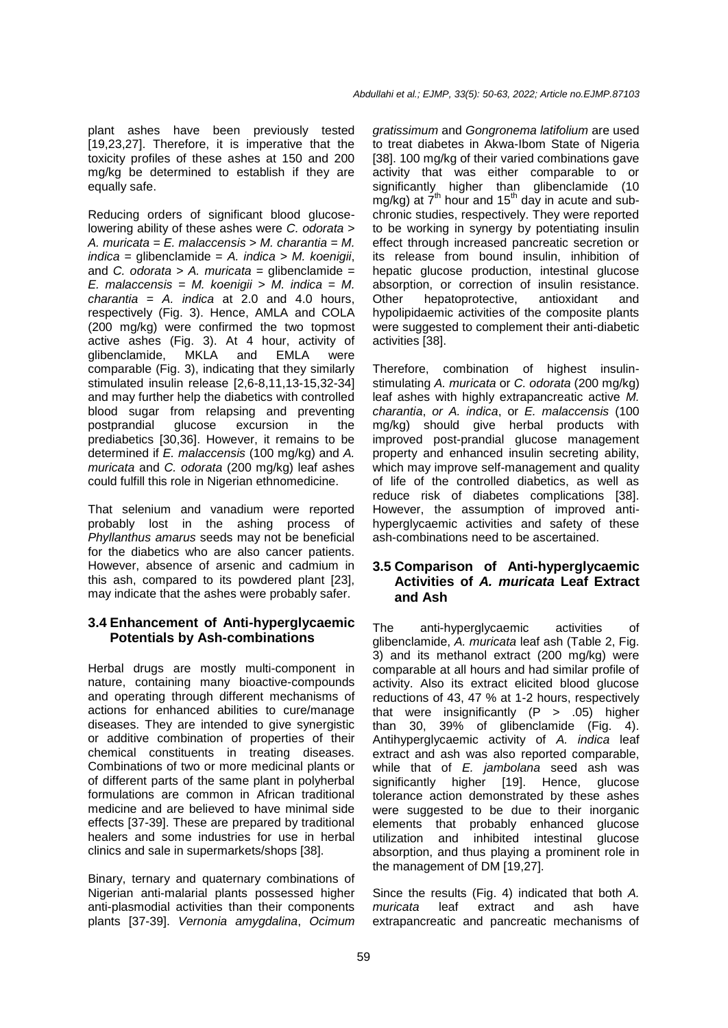plant ashes have been previously tested [19,23,27]. Therefore, it is imperative that the toxicity profiles of these ashes at 150 and 200 mg/kg be determined to establish if they are equally safe.

Reducing orders of significant blood glucoselowering ability of these ashes were *C. odorata* > *A. muricata* = *E. malaccensis* > *M. charantia* = *M. indica* = glibenclamide = *A. indica* > *M. koenigii*, and *C. odorata* > *A. muricata* = glibenclamide = *E. malaccensis* = *M. koenigii* > *M. indica* = *M. charantia* = *A. indica* at 2.0 and 4.0 hours, respectively (Fig. 3). Hence, AMLA and COLA (200 mg/kg) were confirmed the two topmost active ashes (Fig. 3). At 4 hour, activity of glibenclamide, MKLA and EMLA were comparable (Fig. 3), indicating that they similarly stimulated insulin release [2,6-8,11,13-15,32-34] and may further help the diabetics with controlled blood sugar from relapsing and preventing postprandial glucose excursion in the prediabetics [30,36]. However, it remains to be determined if *E. malaccensis* (100 mg/kg) and *A. muricata* and *C. odorata* (200 mg/kg) leaf ashes could fulfill this role in Nigerian ethnomedicine.

That selenium and vanadium were reported probably lost in the ashing process of *Phyllanthus amarus* seeds may not be beneficial for the diabetics who are also cancer patients. However, absence of arsenic and cadmium in this ash, compared to its powdered plant [23], may indicate that the ashes were probably safer.

### **3.4 Enhancement of Anti-hyperglycaemic Potentials by Ash-combinations**

Herbal drugs are mostly multi-component in nature, containing many bioactive-compounds and operating through different mechanisms of actions for enhanced abilities to cure/manage diseases. They are intended to give synergistic or additive combination of properties of their chemical constituents in treating diseases. Combinations of two or more medicinal plants or of different parts of the same plant in polyherbal formulations are common in African traditional medicine and are believed to have minimal side effects [37-39]. These are prepared by traditional healers and some industries for use in herbal clinics and sale in supermarkets/shops [38].

Binary, ternary and quaternary combinations of Nigerian anti-malarial plants possessed higher anti-plasmodial activities than their components plants [37-39]. *Vernonia amygdalina*, *Ocimum* 

*gratissimum* and *Gongronema latifolium* are used to treat diabetes in Akwa-Ibom State of Nigeria [38]. 100 mg/kg of their varied combinations gave activity that was either comparable to or significantly higher than glibenclamide (10  $mg/kg$ ) at  $7<sup>th</sup>$  hour and 15<sup>th</sup> day in acute and subchronic studies, respectively. They were reported to be working in synergy by potentiating insulin effect through increased pancreatic secretion or its release from bound insulin, inhibition of hepatic glucose production, intestinal glucose absorption, or correction of insulin resistance. Other hepatoprotective, antioxidant and hypolipidaemic activities of the composite plants were suggested to complement their anti-diabetic activities [38].

Therefore, combination of highest insulinstimulating *A. muricata* or *C. odorata* (200 mg/kg) leaf ashes with highly extrapancreatic active *M. charantia*, *or A. indica*, or *E. malaccensis* (100 mg/kg) should give herbal products with improved post-prandial glucose management property and enhanced insulin secreting ability, which may improve self-management and quality of life of the controlled diabetics, as well as reduce risk of diabetes complications [38]. However, the assumption of improved antihyperglycaemic activities and safety of these ash-combinations need to be ascertained.

### **3.5 Comparison of Anti-hyperglycaemic Activities of** *A. muricata* **Leaf Extract and Ash**

The anti-hyperglycaemic activities of glibenclamide, *A. muricata* leaf ash (Table 2, Fig. 3) and its methanol extract (200 mg/kg) were comparable at all hours and had similar profile of activity. Also its extract elicited blood glucose reductions of 43, 47 % at 1-2 hours, respectively that were insignificantly  $(P > .05)$  higher than 30, 39% of glibenclamide (Fig. 4). Antihyperglycaemic activity of *A. indica* leaf extract and ash was also reported comparable, while that of *E. jambolana* seed ash was significantly higher [19]. Hence, glucose tolerance action demonstrated by these ashes were suggested to be due to their inorganic elements that probably enhanced glucose utilization and inhibited intestinal glucose absorption, and thus playing a prominent role in the management of DM [19,27].

Since the results (Fig. 4) indicated that both *A. muricata* leaf extract and ash have extrapancreatic and pancreatic mechanisms of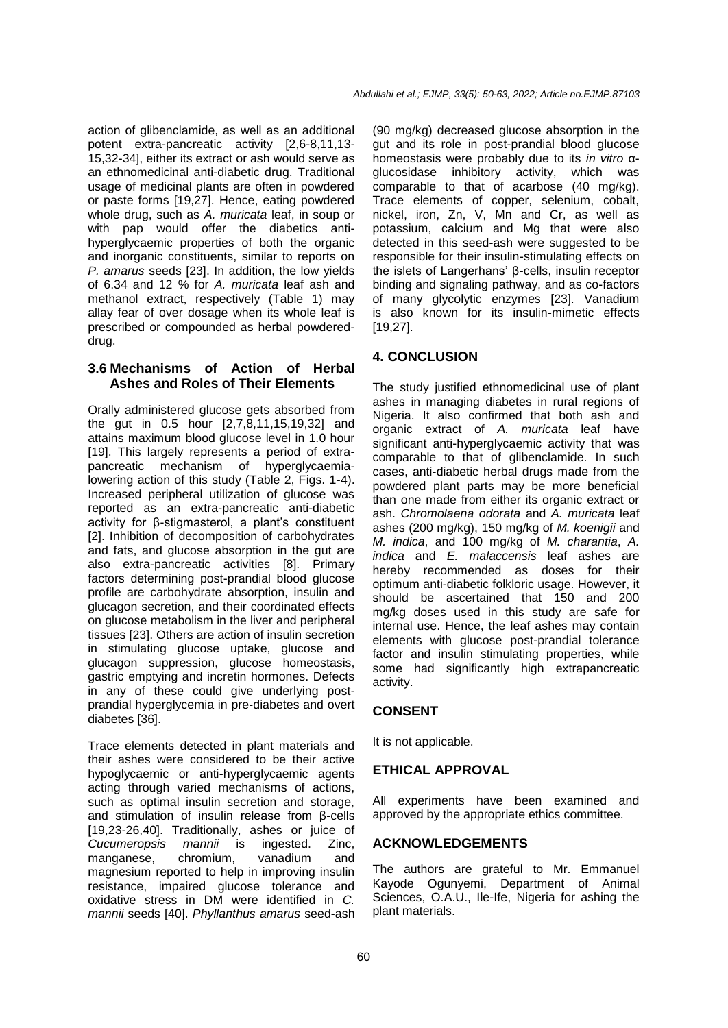action of glibenclamide, as well as an additional potent extra-pancreatic activity [2,6-8,11,13- 15,32-34], either its extract or ash would serve as an ethnomedicinal anti-diabetic drug. Traditional usage of medicinal plants are often in powdered or paste forms [19,27]. Hence, eating powdered whole drug, such as *A. muricata* leaf, in soup or with pap would offer the diabetics antihyperglycaemic properties of both the organic and inorganic constituents, similar to reports on *P. amarus* seeds [23]. In addition, the low yields of 6.34 and 12 % for *A. muricata* leaf ash and methanol extract, respectively (Table 1) may allay fear of over dosage when its whole leaf is prescribed or compounded as herbal powdereddrug.

## **3.6 Mechanisms of Action of Herbal Ashes and Roles of Their Elements**

Orally administered glucose gets absorbed from the gut in 0.5 hour [2,7,8,11,15,19,32] and attains maximum blood glucose level in 1.0 hour [19]. This largely represents a period of extrapancreatic mechanism of hyperglycaemialowering action of this study (Table 2, Figs. 1-4). Increased peripheral utilization of glucose was reported as an extra-pancreatic anti-diabetic activity for β-stigmasterol, a plant's constituent [2]. Inhibition of decomposition of carbohydrates and fats, and glucose absorption in the gut are also extra-pancreatic activities [8]. Primary factors determining post-prandial blood glucose profile are carbohydrate absorption, insulin and glucagon secretion, and their coordinated effects on glucose metabolism in the liver and peripheral tissues [23]. Others are action of insulin secretion in stimulating glucose uptake, glucose and glucagon suppression, glucose homeostasis, gastric emptying and incretin hormones. Defects in any of these could give underlying postprandial hyperglycemia in pre-diabetes and overt diabetes [36].

Trace elements detected in plant materials and their ashes were considered to be their active hypoglycaemic or anti-hyperglycaemic agents acting through varied mechanisms of actions, such as optimal insulin secretion and storage, and stimulation of insulin release from β-cells [19,23-26,40]. Traditionally, ashes or juice of *Cucumeropsis mannii* is ingested. Zinc, manganese, chromium, vanadium and magnesium reported to help in improving insulin resistance, impaired glucose tolerance and oxidative stress in DM were identified in *C. mannii* seeds [40]. *Phyllanthus amarus* seed-ash

(90 mg/kg) decreased glucose absorption in the gut and its role in post-prandial blood glucose homeostasis were probably due to its *in vitro* αinhibitory activity, which was comparable to that of acarbose (40 mg/kg). Trace elements of copper, selenium, cobalt, nickel, iron, Zn, V, Mn and Cr, as well as potassium, calcium and Mg that were also detected in this seed-ash were suggested to be responsible for their insulin-stimulating effects on the islets of Langerhans' β-cells, insulin receptor binding and signaling pathway, and as co-factors of many glycolytic enzymes [23]. Vanadium is also known for its insulin-mimetic effects [19,27].

# **4. CONCLUSION**

The study justified ethnomedicinal use of plant ashes in managing diabetes in rural regions of Nigeria. It also confirmed that both ash and organic extract of *A. muricata* leaf have significant anti-hyperglycaemic activity that was comparable to that of glibenclamide. In such cases, anti-diabetic herbal drugs made from the powdered plant parts may be more beneficial than one made from either its organic extract or ash. *Chromolaena odorata* and *A. muricata* leaf ashes (200 mg/kg), 150 mg/kg of *M. koenigii* and *M. indica*, and 100 mg/kg of *M. charantia*, *A. indica* and *E. malaccensis* leaf ashes are hereby recommended as doses for their optimum anti-diabetic folkloric usage. However, it should be ascertained that 150 and 200 mg/kg doses used in this study are safe for internal use. Hence, the leaf ashes may contain elements with glucose post-prandial tolerance factor and insulin stimulating properties, while some had significantly high extrapancreatic activity.

# **CONSENT**

It is not applicable.

# **ETHICAL APPROVAL**

All experiments have been examined and approved by the appropriate ethics committee.

### **ACKNOWLEDGEMENTS**

The authors are grateful to Mr. Emmanuel Kayode Ogunyemi, Department of Animal Sciences, O.A.U., Ile-Ife, Nigeria for ashing the plant materials.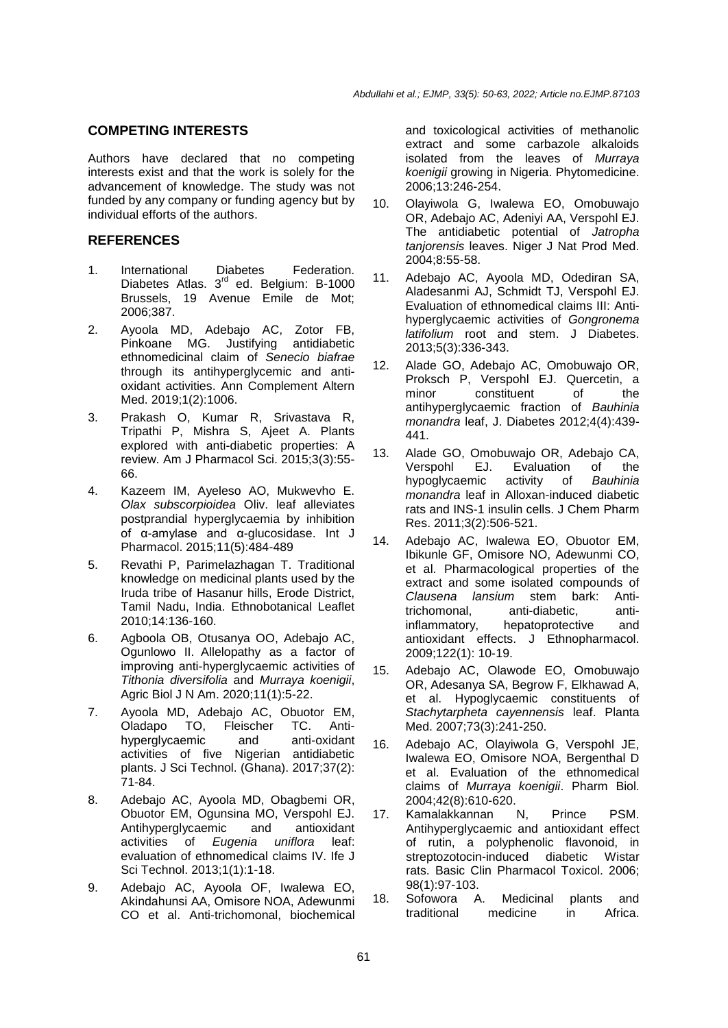#### **COMPETING INTERESTS**

Authors have declared that no competing interests exist and that the work is solely for the advancement of knowledge. The study was not funded by any company or funding agency but by individual efforts of the authors.

#### **REFERENCES**

- 1. International Diabetes Federation. Diabetes Atlas. 3<sup>rd</sup> ed. Belgium: B-1000 Brussels, 19 Avenue Emile de Mot; 2006;387.
- 2. Ayoola MD, Adebajo AC, Zotor FB, Pinkoane MG. Justifying antidiabetic ethnomedicinal claim of *Senecio biafrae* through its antihyperglycemic and antioxidant activities. Ann Complement Altern Med. 2019;1(2):1006.
- 3. Prakash O, Kumar R, Srivastava R, Tripathi P, Mishra S, Ajeet A. Plants explored with anti-diabetic properties: A review. Am J Pharmacol Sci. 2015;3(3):55- 66.
- 4. Kazeem IM, Ayeleso AO, Mukwevho E. *Olax subscorpioidea* Oliv. leaf alleviates postprandial hyperglycaemia by inhibition of α-amylase and α-glucosidase. Int J Pharmacol. 2015;11(5):484-489
- 5. Revathi P, Parimelazhagan T. Traditional knowledge on medicinal plants used by the Iruda tribe of Hasanur hills, Erode District, Tamil Nadu, India. Ethnobotanical Leaflet 2010;14:136-160.
- 6. Agboola OB, Otusanya OO, Adebajo AC, Ogunlowo II. Allelopathy as a factor of improving anti-hyperglycaemic activities of *Tithonia diversifolia* and *Murraya koenigii*, Agric Biol J N Am. 2020;11(1):5-22.
- 7. Ayoola MD, Adebajo AC, Obuotor EM, Oladapo TO, Fleischer TC. Antihyperglycaemic and anti-oxidant activities of five Nigerian antidiabetic plants. J Sci Technol. (Ghana). 2017;37(2): 71-84.
- 8. Adebajo AC, Ayoola MD, Obagbemi OR, Obuotor EM, Ogunsina MO, Verspohl EJ. Antihyperglycaemic and antioxidant<br>activities of Eugenia uniflora leaf: activities of *Eugenia* evaluation of ethnomedical claims IV. Ife J Sci Technol. 2013;1(1):1-18.
- 9. Adebajo AC, Ayoola OF, Iwalewa EO, Akindahunsi AA, Omisore NOA, Adewunmi CO et al. Anti-trichomonal, biochemical

and toxicological activities of methanolic extract and some carbazole alkaloids isolated from the leaves of *Murraya koenigii* growing in Nigeria. Phytomedicine. 2006;13:246-254.

- 10. Olayiwola G, Iwalewa EO, Omobuwajo OR, Adebajo AC, Adeniyi AA, Verspohl EJ. The antidiabetic potential of *Jatropha tanjorensis* leaves. Niger J Nat Prod Med. 2004;8:55-58.
- 11. Adebajo AC, Ayoola MD, Odediran SA, Aladesanmi AJ, Schmidt TJ, Verspohl EJ. Evaluation of ethnomedical claims III: Antihyperglycaemic activities of *Gongronema latifolium* root and stem. J Diabetes. 2013;5(3):336-343.
- 12. Alade GO, Adebajo AC, Omobuwajo OR, Proksch P, Verspohl EJ. Quercetin, a minor constituent of the antihyperglycaemic fraction of *Bauhinia monandra* leaf, J. Diabetes 2012;4(4):439- 441.
- 13. Alade GO, Omobuwajo OR, Adebajo CA, Verspohl EJ. Evaluation of the hypoglycaemic activity of *Bauhinia monandra* leaf in Alloxan-induced diabetic rats and INS-1 insulin cells. J Chem Pharm Res. 2011;3(2):506-521.
- 14. Adebajo AC, Iwalewa EO, Obuotor EM, Ibikunle GF, Omisore NO, Adewunmi CO, et al. Pharmacological properties of the extract and some isolated compounds of *Clausena lansium* stem bark: Antitrichomonal, anti-diabetic, antiinflammatory, hepatoprotective and antioxidant effects. J Ethnopharmacol. 2009;122(1): 10-19.
- 15. Adebajo AC, Olawode EO, Omobuwajo OR, Adesanya SA, Begrow F, Elkhawad A, et al. Hypoglycaemic constituents of *Stachytarpheta cayennensis* leaf. Planta Med. 2007;73(3):241-250.
- 16. Adebajo AC, Olayiwola G, Verspohl JE, Iwalewa EO, Omisore NOA, Bergenthal D et al. Evaluation of the ethnomedical claims of *Murraya koenigii*. Pharm Biol. 2004;42(8):610-620.
- 17. Kamalakkannan N, Prince PSM. Antihyperglycaemic and antioxidant effect of rutin, a polyphenolic flavonoid, in streptozotocin-induced diabetic Wistar rats. Basic Clin Pharmacol Toxicol. 2006; 98(1):97-103.
- 18. Sofowora A. Medicinal plants and traditional medicine in Africa.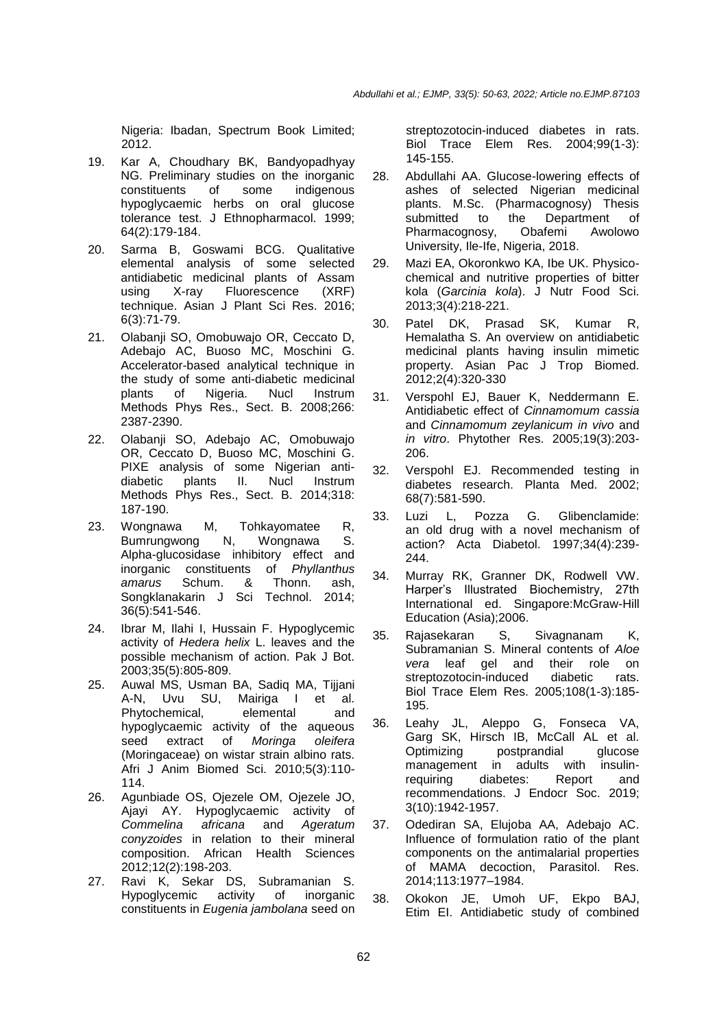Nigeria: Ibadan, Spectrum Book Limited; 2012.

- 19. Kar A, Choudhary BK, Bandyopadhyay NG. Preliminary studies on the inorganic constituents of some indigenous hypoglycaemic herbs on oral glucose tolerance test. J Ethnopharmacol. 1999; 64(2):179-184.
- 20. Sarma B, Goswami BCG. Qualitative elemental analysis of some selected antidiabetic medicinal plants of Assam using X-ray Fluorescence (XRF) technique. Asian J Plant Sci Res. 2016; 6(3):71-79.
- 21. Olabanji SO, Omobuwajo OR, Ceccato D, Adebajo AC, Buoso MC, Moschini G. Accelerator-based analytical technique in the study of some anti-diabetic medicinal plants of Nigeria. Nucl Instrum Methods Phys Res., Sect. B. 2008;266: 2387-2390.
- 22. Olabanji SO, Adebajo AC, Omobuwajo OR, Ceccato D, Buoso MC, Moschini G. PIXE analysis of some Nigerian anti-<br>diabetic plants II. Nucl Instrum diabetic plants II. Nucl Instrum Methods Phys Res., Sect. B. 2014;318: 187-190.
- 23. Wongnawa M, Tohkayomatee R, Bumrungwong N, Wongnawa S. Alpha-glucosidase inhibitory effect and<br>inorganic constituents of *Phyllanthus* inorganic constituents *amarus* Schum. & Thonn. ash, Songklanakarin J Sci Technol. 2014; 36(5):541-546.
- 24. Ibrar M, Ilahi I, Hussain F. Hypoglycemic activity of *Hedera helix* L. leaves and the possible mechanism of action. Pak J Bot. 2003;35(5):805-809.
- 25. Auwal MS, Usman BA, Sadiq MA, Tijjani A-N, Uvu SU, Mairiga I et al. Phytochemical, elemental and hypoglycaemic activity of the aqueous seed extract of *Moringa oleifera*  (Moringaceae) on wistar strain albino rats. Afri J Anim Biomed Sci. 2010;5(3):110- 114.
- 26. Agunbiade OS, Ojezele OM, Ojezele JO, Ajayi AY. Hypoglycaemic activity of *Commelina africana* and *Ageratum conyzoides* in relation to their mineral composition. African Health Sciences 2012;12(2):198-203.
- 27. Ravi K, Sekar DS, Subramanian S. Hypoglycemic activity of inorganic constituents in *Eugenia jambolana* seed on

streptozotocin-induced diabetes in rats. Biol Trace Elem Res. 2004;99(1-3): 145-155.

- 28. Abdullahi AA. Glucose-lowering effects of ashes of selected Nigerian medicinal plants. M.Sc. (Pharmacognosy) Thesis submitted to the Department of Pharmacognosy, Obafemi Awolowo University, Ile-Ife, Nigeria, 2018.
- 29. Mazi EA, Okoronkwo KA, Ibe UK. Physicochemical and nutritive properties of bitter kola (*Garcinia kola*). J Nutr Food Sci. 2013;3(4):218-221.
- 30. Patel DK, Prasad SK, Kumar R, Hemalatha S. An overview on antidiabetic medicinal plants having insulin mimetic property. Asian Pac J Trop Biomed. 2012;2(4):320-330
- 31. Verspohl EJ, Bauer K, Neddermann E. Antidiabetic effect of *Cinnamomum cassia* and *Cinnamomum zeylanicum in vivo* and *in vitro*. Phytother Res. 2005;19(3):203- 206.
- 32. Verspohl EJ. Recommended testing in diabetes research. Planta Med. 2002; 68(7):581-590.
- 33. Luzi L, Pozza G. Glibenclamide: an old drug with a novel mechanism of action? Acta Diabetol. 1997;34(4):239- 244.
- 34. Murray RK, Granner DK, Rodwell VW. Harper's Illustrated Biochemistry, 27th International ed. Singapore:McGraw-Hill Education (Asia);2006.
- 35. Rajasekaran S, Sivagnanam K, Subramanian S. Mineral contents of *Aloe vera* leaf gel and their role on streptozotocin-induced diabetic rats. Biol Trace Elem Res. 2005;108(1-3):185- 195.
- 36. Leahy JL, Aleppo G, Fonseca VA, Garg SK, Hirsch IB, McCall AL et al. Optimizing postprandial glucose management in adults with insulin-<br>requiring diabetes: Report and diabetes: Report and recommendations. J Endocr Soc. 2019; 3(10):1942-1957.
- 37. Odediran SA, Elujoba AA, Adebajo AC. Influence of formulation ratio of the plant components on the antimalarial properties of MAMA decoction, Parasitol. Res. 2014;113:1977–1984.
- 38. Okokon JE, Umoh UF, Ekpo BAJ, Etim EI. Antidiabetic study of combined